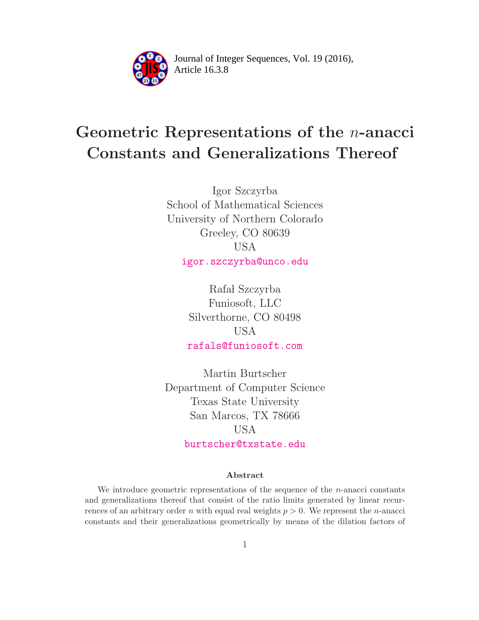

Article 16.3.8 **<sup>2</sup>** Journal of Integer Sequences, Vol. 19 (2016),

# Geometric Representations of the n-anacci Constants and Generalizations Thereof

Igor Szczyrba School of Mathematical Sciences University of Northern Colorado Greeley, CO 80639 USA [igor.szczyrba@unco.edu](mailto:igor.szczyrba@unco.edu)

> Rafał Szczyrba Funiosoft, LLC Silverthorne, CO 80498 USA [rafals@funiosoft.com](mailto:rafals@funiosoft.com)

Martin Burtscher Department of Computer Science Texas State University San Marcos, TX 78666 USA [burtscher@txstate.edu](mailto:burtscher@txstate.edu)

#### Abstract

We introduce geometric representations of the sequence of the  $n$ -anacci constants and generalizations thereof that consist of the ratio limits generated by linear recurrences of an arbitrary order n with equal real weights  $p > 0$ . We represent the n-anacci constants and their generalizations geometrically by means of the dilation factors of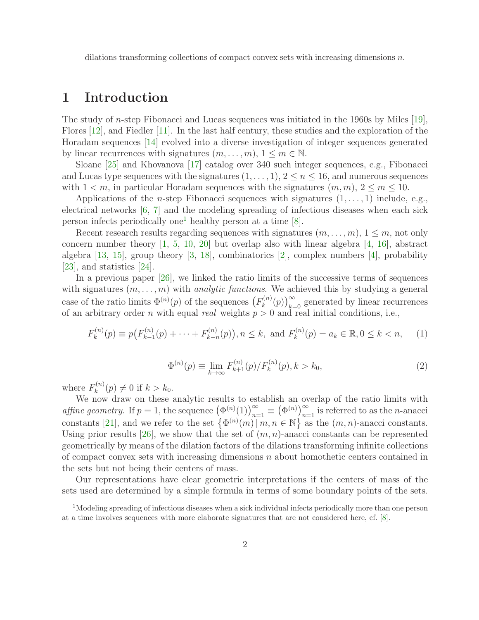dilations transforming collections of compact convex sets with increasing dimensions  $n$ .

## 1 Introduction

The study of n-step Fibonacci and Lucas sequences was initiated in the 1960s by Miles [\[19\]](#page-12-0), Flores [\[12\]](#page-12-1), and Fiedler [\[11\]](#page-12-2). In the last half century, these studies and the exploration of the Horadam sequences [\[14\]](#page-12-3) evolved into a diverse investigation of integer sequences generated by linear recurrences with signatures  $(m, \ldots, m), 1 \leq m \in \mathbb{N}$ .

Sloane [\[25\]](#page-13-0) and Khovanova [\[17\]](#page-12-4) catalog over 340 such integer sequences, e.g., Fibonacci and Lucas type sequences with the signatures  $(1, \ldots, 1), 2 \le n \le 16$ , and numerous sequences with  $1 \leq m$ , in particular Horadam sequences with the signatures  $(m, m)$ ,  $2 \leq m \leq 10$ .

Applications of the *n*-step Fibonacci sequences with signatures  $(1, \ldots, 1)$  include, e.g., electrical networks [\[6,](#page-11-0) [7\]](#page-11-1) and the modeling spreading of infectious diseases when each sick person infects periodically one<sup>[1](#page-1-0)</sup> healthy person at a time  $[8]$ .

Recent research results regarding sequences with signatures  $(m, \ldots, m)$ ,  $1 \leq m$ , not only concern number theory [\[1,](#page-11-3) [5,](#page-11-4) [10,](#page-12-5) [20\]](#page-12-6) but overlap also with linear algebra [\[4,](#page-11-5) [16\]](#page-12-7), abstract algebra [\[13,](#page-12-8) [15\]](#page-12-9), group theory [\[3,](#page-11-6) [18\]](#page-12-10), combinatorics [\[2\]](#page-11-7), complex numbers [\[4\]](#page-11-5), probability [\[23\]](#page-12-11), and statistics [\[24\]](#page-12-12).

In a previous paper [\[26\]](#page-13-1), we linked the ratio limits of the successive terms of sequences with signatures  $(m, \ldots, m)$  with *analytic functions*. We achieved this by studying a general case of the ratio limits  $\Phi^{(n)}(p)$  of the sequences  $(F_k^{(n)})$  $\binom{n(n)}{k}(p)$ <sub>k=0</sub> generated by linear recurrences of an arbitrary order n with equal real weights  $p > 0$  and real initial conditions, i.e.,

<span id="page-1-2"></span>
$$
F_k^{(n)}(p) \equiv p(F_{k-1}^{(n)}(p) + \dots + F_{k-n}^{(n)}(p)), n \le k, \text{ and } F_k^{(n)}(p) = a_k \in \mathbb{R}, 0 \le k < n,\tag{1}
$$

<span id="page-1-1"></span>
$$
\Phi^{(n)}(p) \equiv \lim_{k \to \infty} F_{k+1}^{(n)}(p) / F_k^{(n)}(p), k > k_0,
$$
\n(2)

where  $F_k^{(n)}$  $k^{(n)}(p) \neq 0$  if  $k > k_0$ .

We now draw on these analytic results to establish an overlap of the ratio limits with affine geometry. If  $p = 1$ , the sequence  $(\Phi^{(n)}(1))_{n=1}^{\infty} \equiv (\Phi^{(n)})_{n=1}^{\infty}$  is referred to as the *n*-anacci constants [\[21\]](#page-12-13), and we refer to the set  $\{\Phi^{(n)}(m) | m, n \in \mathbb{N}\}\$ as the  $(m, n)$ -anacci constants. Using prior results [\[26\]](#page-13-1), we show that the set of  $(m, n)$ -anacci constants can be represented geometrically by means of the dilation factors of the dilations transforming infinite collections of compact convex sets with increasing dimensions  $n$  about homothetic centers contained in the sets but not being their centers of mass.

Our representations have clear geometric interpretations if the centers of mass of the sets used are determined by a simple formula in terms of some boundary points of the sets.

<span id="page-1-0"></span> $1$ Modeling spreading of infectious diseases when a sick individual infects periodically more than one person at a time involves sequences with more elaborate signatures that are not considered here, cf. [\[8\]](#page-11-2).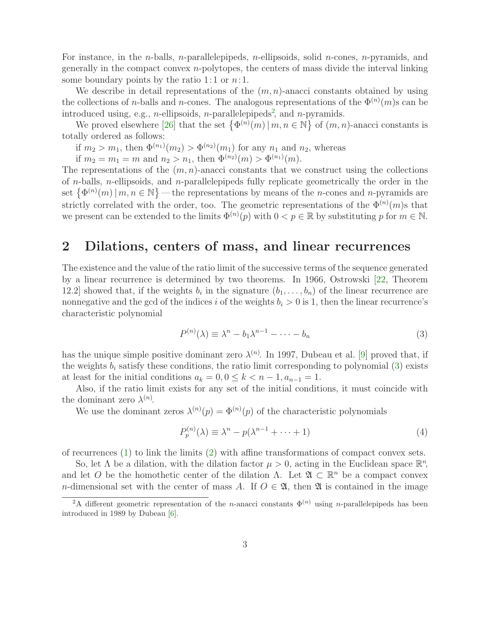For instance, in the *n*-balls, *n*-parallelepipeds, *n*-ellipsoids, solid *n*-cones, *n*-pyramids, and generally in the compact convex  $n$ -polytopes, the centers of mass divide the interval linking some boundary points by the ratio 1:1 or  $n:1$ .

We describe in detail representations of the  $(m, n)$ -anacci constants obtained by using the collections of *n*-balls and *n*-cones. The analogous representations of the  $\Phi^{(n)}(m)$ s can be introduced using, e.g., *n*-ellipsoids, *n*-parallelepipeds<sup>[2](#page-2-0)</sup>, and *n*-pyramids.

We proved elsewhere [\[26\]](#page-13-1) that the set  $\{\Phi^{(n)}(m) | m, n \in \mathbb{N}\}\$  of  $(m, n)$ -anacci constants is totally ordered as follows:

if  $m_2 > m_1$ , then  $\Phi^{(n_1)}(m_2) > \Phi^{(n_2)}(m_1)$  for any  $n_1$  and  $n_2$ , whereas

if  $m_2 = m_1 = m$  and  $n_2 > n_1$ , then  $\Phi^{(n_2)}(m) > \Phi^{(n_1)}(m)$ .

The representations of the  $(m, n)$ -anacci constants that we construct using the collections of *n*-balls, *n*-ellipsoids, and *n*-parallelepipeds fully replicate geometrically the order in the set  $\{\Phi^{(n)}(m) \mid m, n \in \mathbb{N}\}\$  — the representations by means of the *n*-cones and *n*-pyramids are strictly correlated with the order, too. The geometric representations of the  $\Phi^{(n)}(m)$ s that we present can be extended to the limits  $\Phi^{(n)}(p)$  with  $0 < p \in \mathbb{R}$  by substituting p for  $m \in \mathbb{N}$ .

#### 2 Dilations, centers of mass, and linear recurrences

The existence and the value of the ratio limit of the successive terms of the sequence generated by a linear recurrence is determined by two theorems. In 1966, Ostrowski [\[22,](#page-12-14) Theorem 12.2] showed that, if the weights  $b_i$  in the signature  $(b_1, \ldots, b_n)$  of the linear recurrence are nonnegative and the gcd of the indices i of the weights  $b_i > 0$  is 1, then the linear recurrence's characteristic polynomial

<span id="page-2-1"></span>
$$
P^{(n)}(\lambda) \equiv \lambda^n - b_1 \lambda^{n-1} - \dots - b_n \tag{3}
$$

has the unique simple positive dominant zero  $\lambda^{(n)}$ . In 1997, Dubeau et al. [\[9\]](#page-11-8) proved that, if the weights  $b_i$  satisfy these conditions, the ratio limit corresponding to polynomial [\(3\)](#page-2-1) exists at least for the initial conditions  $a_k = 0, 0 \le k < n-1, a_{n-1} = 1$ .

Also, if the ratio limit exists for any set of the initial conditions, it must coincide with the dominant zero  $\lambda^{(n)}$ .

We use the dominant zeros  $\lambda^{(n)}(p) = \Phi^{(n)}(p)$  of the characteristic polynomials

<span id="page-2-2"></span>
$$
P_p^{(n)}(\lambda) \equiv \lambda^n - p(\lambda^{n-1} + \dots + 1)
$$
\n<sup>(4)</sup>

of recurrences [\(1\)](#page-1-1) to link the limits [\(2\)](#page-1-2) with affine transformations of compact convex sets.

So, let  $\Lambda$  be a dilation, with the dilation factor  $\mu > 0$ , acting in the Euclidean space  $\mathbb{R}^n$ , and let O be the homothetic center of the dilation  $\Lambda$ . Let  $\mathfrak{A} \subset \mathbb{R}^n$  be a compact convex n-dimensional set with the center of mass A. If  $O \in \mathfrak{A}$ , then  $\mathfrak{A}$  is contained in the image

<span id="page-2-0"></span><sup>&</sup>lt;sup>2</sup>A different geometric representation of the *n*-anacci constants  $\Phi^{(n)}$  using *n*-parallelepipeds has been introduced in 1989 by Dubeau [\[6\]](#page-11-0).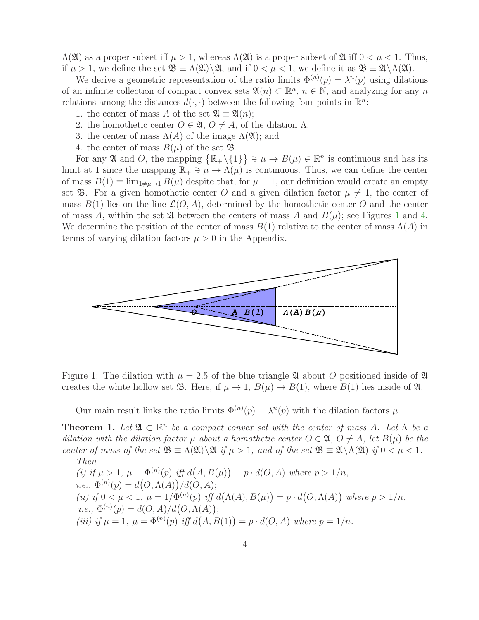$\Lambda(\mathfrak{A})$  as a proper subset iff  $\mu > 1$ , whereas  $\Lambda(\mathfrak{A})$  is a proper subset of  $\mathfrak{A}$  iff  $0 < \mu < 1$ . Thus, if  $\mu > 1$ , we define the set  $\mathfrak{B} \equiv \Lambda(\mathfrak{A}) \setminus \mathfrak{A}$ , and if  $0 < \mu < 1$ , we define it as  $\mathfrak{B} \equiv \mathfrak{A} \setminus \Lambda(\mathfrak{A})$ .

We derive a geometric representation of the ratio limits  $\Phi^{(n)}(p) = \lambda^n(p)$  using dilations of an infinite collection of compact convex sets  $\mathfrak{A}(n) \subset \mathbb{R}^n$ ,  $n \in \mathbb{N}$ , and analyzing for any n relations among the distances  $d(\cdot, \cdot)$  between the following four points in  $\mathbb{R}^n$ .

- 1. the center of mass A of the set  $\mathfrak{A} \equiv \mathfrak{A}(n);$
- 2. the homothetic center  $O \in \mathfrak{A}, O \neq A$ , of the dilation  $\Lambda$ ;
- 3. the center of mass  $\Lambda(A)$  of the image  $\Lambda(\mathfrak{A})$ ; and
- 4. the center of mass  $B(\mu)$  of the set  $\mathfrak{B}$ .

For any  $\mathfrak A$  and O, the mapping  $\{\mathbb R_+\setminus\{1\}\}\ni\mu\to B(\mu)\in\mathbb R^n$  is continuous and has its limit at 1 since the mapping  $\mathbb{R}_+ \ni \mu \to \Lambda(\mu)$  is continuous. Thus, we can define the center of mass  $B(1) \equiv \lim_{1 \neq \mu \to 1} B(\mu)$  despite that, for  $\mu = 1$ , our definition would create an empty set **B**. For a given homothetic center O and a given dilation factor  $\mu \neq 1$ , the center of mass  $B(1)$  lies on the line  $\mathcal{L}(O, A)$ , determined by the homothetic center O and the center of mass A, within the set  $\mathfrak A$  between the centers of mass A and  $B(\mu)$ ; see Figures [1](#page-3-0) and [4.](#page-11-9) We determine the position of the center of mass  $B(1)$  relative to the center of mass  $\Lambda(A)$  in terms of varying dilation factors  $\mu > 0$  in the Appendix.



Figure 1: The dilation with  $\mu = 2.5$  of the blue triangle  $\mathfrak A$  about O positioned inside of  $\mathfrak A$ creates the white hollow set  $\mathfrak{B}$ . Here, if  $\mu \to 1$ ,  $B(\mu) \to B(1)$ , where  $B(1)$  lies inside of  $\mathfrak{A}$ .

<span id="page-3-1"></span><span id="page-3-0"></span>Our main result links the ratio limits  $\Phi^{(n)}(p) = \lambda^n(p)$  with the dilation factors  $\mu$ .

**Theorem 1.** Let  $\mathfrak{A} \subset \mathbb{R}^n$  be a compact convex set with the center of mass A. Let  $\Lambda$  be a dilation with the dilation factor  $\mu$  about a homothetic center  $O \in \mathfrak{A}, O \neq A$ , let  $B(\mu)$  be the center of mass of the set  $\mathfrak{B} \equiv \Lambda(\mathfrak{A}) \backslash \mathfrak{A}$  if  $\mu > 1$ , and of the set  $\mathfrak{B} \equiv \mathfrak{A} \backslash \Lambda(\mathfrak{A})$  if  $0 < \mu < 1$ . Then

(i) if 
$$
\mu > 1
$$
,  $\mu = \Phi^{(n)}(p)$  iff  $d(A, B(\mu)) = p \cdot d(O, A)$  where  $p > 1/n$ ,  
\ni.e.,  $\Phi^{(n)}(p) = d(O, \Lambda(A)) / d(O, A)$ ;  
\n(ii) if  $0 < \mu < 1$ ,  $\mu = 1/\Phi^{(n)}(p)$  iff  $d(\Lambda(A), B(\mu)) = p \cdot d(O, \Lambda(A))$  where  $p > 1/n$ ,  
\ni.e.,  $\Phi^{(n)}(p) = d(O, A) / d(O, \Lambda(A))$ ;  
\n(iii) if  $\mu = 1$ ,  $\mu = \Phi^{(n)}(p)$  iff  $d(A, B(1)) = p \cdot d(O, A)$  where  $p = 1/n$ .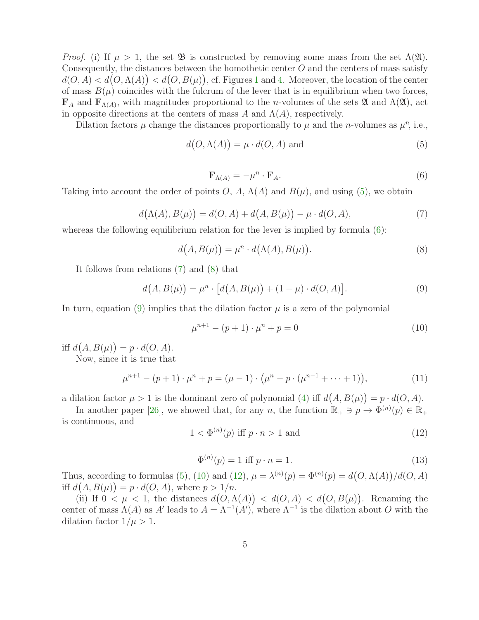*Proof.* (i) If  $\mu > 1$ , the set  $\mathfrak{B}$  is constructed by removing some mass from the set  $\Lambda(\mathfrak{A})$ . Consequently, the distances between the homothetic center  $O$  and the centers of mass satisfy  $d(O, A) < d(O, \Lambda(A)) < d(O, B(\mu))$ , cf. Figures [1](#page-3-0) and [4.](#page-11-9) Moreover, the location of the center of mass  $B(\mu)$  coincides with the fulcrum of the lever that is in equilibrium when two forces,  $\mathbf{F}_A$  and  $\mathbf{F}_{\Lambda(A)}$ , with magnitudes proportional to the *n*-volumes of the sets  $\mathfrak A$  and  $\Lambda(\mathfrak A)$ , act in opposite directions at the centers of mass A and  $\Lambda(A)$ , respectively.

<span id="page-4-1"></span>Dilation factors  $\mu$  change the distances proportionally to  $\mu$  and the *n*-volumes as  $\mu^{n}$ , i.e.,

$$
d(O, \Lambda(A)) = \mu \cdot d(O, A) \text{ and } (5)
$$

<span id="page-4-3"></span><span id="page-4-0"></span>
$$
\mathbf{F}_{\Lambda(A)} = -\mu^n \cdot \mathbf{F}_A. \tag{6}
$$

<span id="page-4-2"></span>Taking into account the order of points O, A,  $\Lambda(A)$  and  $B(\mu)$ , and using [\(5\)](#page-4-0), we obtain

$$
d(\Lambda(A), B(\mu)) = d(O, A) + d(A, B(\mu)) - \mu \cdot d(O, A), \tag{7}
$$

whereas the following equilibrium relation for the lever is implied by formula  $(6)$ :

<span id="page-4-4"></span>
$$
d(A, B(\mu)) = \mu^n \cdot d(\Lambda(A), B(\mu)).
$$
\n(8)

It follows from relations [\(7\)](#page-4-2) and [\(8\)](#page-4-3) that

$$
d(A, B(\mu)) = \mu^n \cdot [d(A, B(\mu)) + (1 - \mu) \cdot d(O, A)].
$$
\n(9)

In turn, equation [\(9\)](#page-4-4) implies that the dilation factor  $\mu$  is a zero of the polynomial

<span id="page-4-5"></span>
$$
\mu^{n+1} - (p+1) \cdot \mu^n + p = 0 \tag{10}
$$

iff  $d(A, B(\mu)) = p \cdot d(O, A)$ .

Now, since it is true that

<span id="page-4-6"></span>
$$
\mu^{n+1} - (p+1) \cdot \mu^n + p = (\mu - 1) \cdot (\mu^n - p \cdot (\mu^{n-1} + \dots + 1)), \tag{11}
$$

a dilation factor  $\mu > 1$  is the dominant zero of polynomial [\(4\)](#page-2-2) iff  $d(A, B(\mu)) = p \cdot d(O, A)$ .

<span id="page-4-7"></span>In another paper [\[26\]](#page-13-1), we showed that, for any n, the function  $\mathbb{R}_+ \ni p \to \Phi^{(n)}(p) \in \mathbb{R}_+$ is continuous, and

$$
1 < \Phi^{(n)}(p) \text{ iff } p \cdot n > 1 \text{ and } \tag{12}
$$

$$
\Phi^{(n)}(p) = 1 \text{ iff } p \cdot n = 1. \tag{13}
$$

Thus, according to formulas [\(5\)](#page-4-0), [\(10\)](#page-4-5) and [\(12\)](#page-4-6),  $\mu = \lambda^{(n)}(p) = \Phi^{(n)}(p) = d(O, \Lambda(A))/d(O, A)$ iff  $d(A, B(\mu)) = p \cdot d(O, A)$ , where  $p > 1/n$ .

(ii) If  $0 < \mu < 1$ , the distances  $d(O, \Lambda(A)) < d(O, A) < d(O, B(\mu))$ . Renaming the center of mass  $\Lambda(A)$  as A' leads to  $A = \Lambda^{-1}(A')$ , where  $\Lambda^{-1}$  is the dilation about O with the dilation factor  $1/\mu > 1$ .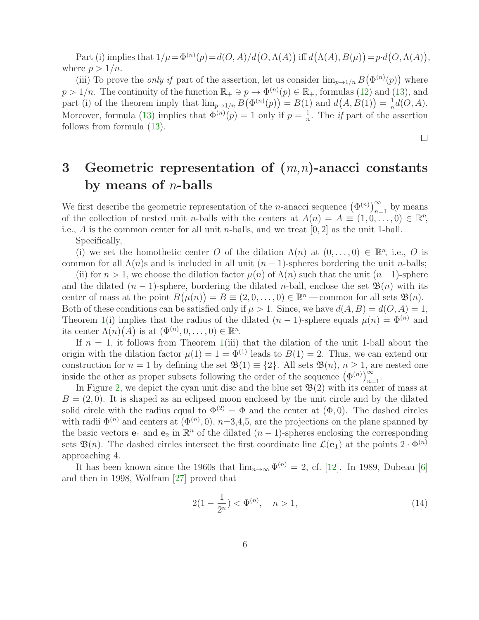Part (i) implies that  $1/\mu = \Phi^{(n)}(p) = d(O, A)/d(O, \Lambda(A))$  iff  $d(\Lambda(A), B(\mu)) = p \cdot d(O, \Lambda(A)),$ where  $p > 1/n$ .

(iii) To prove the *only if* part of the assertion, let us consider  $\lim_{p\to 1/n} B(\Phi^{(n)}(p))$  where  $p > 1/n$ . The continuity of the function  $\mathbb{R}_+ \ni p \to \Phi^{(n)}(p) \in \mathbb{R}_+$ , formulas [\(12\)](#page-4-6) and [\(13\)](#page-4-7), and part (i) of the theorem imply that  $\lim_{p\to 1/n} B(\Phi^{(n)}(p)) = B(1)$  and  $d(A, B(1)) = \frac{1}{n}$  $\frac{1}{n}d(O,A).$ Moreover, formula [\(13\)](#page-4-7) implies that  $\Phi^{(n)}(p) = 1$  only if  $p = \frac{1}{n}$  $\frac{1}{n}$ . The *if* part of the assertion follows from formula [\(13\)](#page-4-7).

 $\Box$ 

## 3 Geometric representation of  $(m,n)$ -anacci constants by means of  $n$ -balls

We first describe the geometric representation of the *n*-anacci sequence  $(\Phi^{(n)})_{n=1}^{\infty}$  by means of the collection of nested unit *n*-balls with the centers at  $A(n) = A \equiv (1, 0, \ldots, 0) \in \mathbb{R}^n$ , i.e., A is the common center for all unit *n*-balls, and we treat  $[0, 2]$  as the unit 1-ball.

Specifically,

(i) we set the homothetic center O of the dilation  $\Lambda(n)$  at  $(0,\ldots,0) \in \mathbb{R}^n$ , i.e., O is common for all  $\Lambda(n)$ s and is included in all unit  $(n-1)$ -spheres bordering the unit *n*-balls;

(ii) for  $n > 1$ , we choose the dilation factor  $\mu(n)$  of  $\Lambda(n)$  such that the unit  $(n-1)$ -sphere and the dilated  $(n-1)$ -sphere, bordering the dilated n-ball, enclose the set  $\mathfrak{B}(n)$  with its center of mass at the point  $B(\mu(n)) = B \equiv (2, 0, \dots, 0) \in \mathbb{R}^n$  – common for all sets  $\mathfrak{B}(n)$ . Both of these conditions can be satisfied only if  $\mu > 1$ . Since, we have  $d(A, B) = d(O, A) = 1$ , Theorem [1\(](#page-3-1)i) implies that the radius of the dilated  $(n-1)$ -sphere equals  $\mu(n) = \Phi^{(n)}$  and its center  $\Lambda(n)(A)$  is at  $(\Phi^{(n)}, 0, \ldots, 0) \in \mathbb{R}^n$ .

If  $n = 1$ , it follows from Theorem [1\(](#page-3-1)iii) that the dilation of the unit 1-ball about the origin with the dilation factor  $\mu(1) = 1 = \Phi^{(1)}$  leads to  $B(1) = 2$ . Thus, we can extend our construction for  $n = 1$  by defining the set  $\mathfrak{B}(1) \equiv \{2\}$ . All sets  $\mathfrak{B}(n)$ ,  $n \geq 1$ , are nested one inside the other as proper subsets following the order of the sequence  $(\Phi^{(n)})_{n=1}^{\infty}$ .

In Figure [2,](#page-6-0) we depict the cyan unit disc and the blue set  $\mathfrak{B}(2)$  with its center of mass at  $B = (2, 0)$ . It is shaped as an eclipsed moon enclosed by the unit circle and by the dilated solid circle with the radius equal to  $\Phi^{(2)} = \Phi$  and the center at  $(\Phi, 0)$ . The dashed circles with radii  $\Phi^{(n)}$  and centers at  $(\Phi^{(n)}, 0)$ ,  $n=3,4,5$ , are the projections on the plane spanned by the basic vectors  $e_1$  and  $e_2$  in  $\mathbb{R}^n$  of the dilated  $(n-1)$ -spheres enclosing the corresponding sets  $\mathfrak{B}(n)$ . The dashed circles intersect the first coordinate line  $\mathcal{L}(\mathbf{e}_1)$  at the points  $2 \cdot \Phi^{(n)}$ approaching 4.

It has been known since the 1960s that  $\lim_{n\to\infty} \Phi^{(n)} = 2$ , cf. [\[12\]](#page-12-1). In 1989, Dubeau [\[6\]](#page-11-0) and then in 1998, Wolfram [\[27\]](#page-13-2) proved that

<span id="page-5-0"></span>
$$
2(1 - \frac{1}{2^n}) < \Phi^{(n)}, \quad n > 1,\tag{14}
$$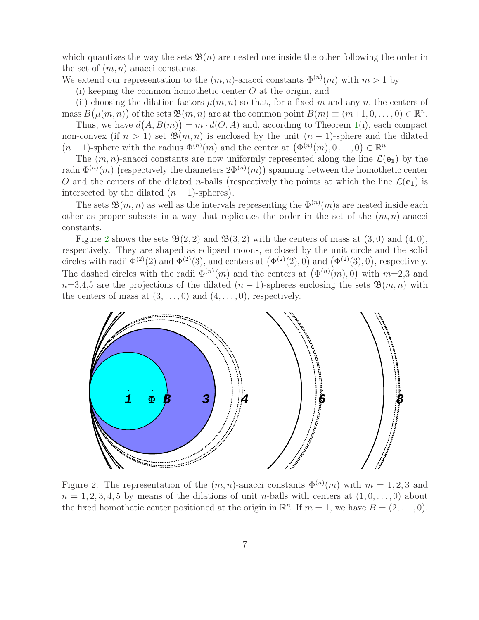which quantizes the way the sets  $\mathfrak{B}(n)$  are nested one inside the other following the order in the set of  $(m, n)$ -anacci constants.

We extend our representation to the  $(m, n)$ -anacci constants  $\Phi^{(n)}(m)$  with  $m > 1$  by

(i) keeping the common homothetic center  $O$  at the origin, and

(ii) choosing the dilation factors  $\mu(m, n)$  so that, for a fixed m and any n, the centers of mass  $B(\mu(m,n))$  of the sets  $\mathfrak{B}(m,n)$  are at the common point  $B(m) \equiv (m+1,0,\ldots,0) \in \mathbb{R}^n$ .

Thus, we have  $d(A, B(m)) = m \cdot d(O, A)$  and, according to Theorem [1\(](#page-3-1)i), each compact non-convex (if  $n > 1$ ) set  $\mathfrak{B}(m, n)$  is enclosed by the unit  $(n - 1)$ -sphere and the dilated  $(n-1)$ -sphere with the radius  $\Phi^{(n)}(m)$  and the center at  $(\Phi^{(n)}(m), 0 \ldots, 0) \in \mathbb{R}^n$ .

The  $(m, n)$ -anacci constants are now uniformly represented along the line  $\mathcal{L}(e_1)$  by the radii  $\Phi^{(n)}(m)$  (respectively the diameters  $2\Phi^{(n)}(m)$ ) spanning between the homothetic center O and the centers of the dilated *n*-balls (respectively the points at which the line  $\mathcal{L}(e_1)$  is intersected by the dilated  $(n-1)$ -spheres).

The sets  $\mathfrak{B}(m,n)$  as well as the intervals representing the  $\Phi^{(n)}(m)$ s are nested inside each other as proper subsets in a way that replicates the order in the set of the  $(m, n)$ -anacci constants.

Figure [2](#page-6-0) shows the sets  $\mathfrak{B}(2,2)$  and  $\mathfrak{B}(3,2)$  with the centers of mass at  $(3,0)$  and  $(4,0)$ , respectively. They are shaped as eclipsed moons, enclosed by the unit circle and the solid circles with radii  $\Phi^{(2)}(2)$  and  $\Phi^{(2)}(3)$ , and centers at  $(\Phi^{(2)}(2), 0)$  and  $(\Phi^{(2)}(3), 0)$ , respectively. The dashed circles with the radii  $\Phi^{(n)}(m)$  and the centers at  $(\Phi^{(n)}(m), 0)$  with  $m=2,3$  and  $n=3,4,5$  are the projections of the dilated  $(n-1)$ -spheres enclosing the sets  $\mathfrak{B}(m,n)$  with the centers of mass at  $(3, \ldots, 0)$  and  $(4, \ldots, 0)$ , respectively.



<span id="page-6-0"></span>Figure 2: The representation of the  $(m, n)$ -anacci constants  $\Phi^{(n)}(m)$  with  $m = 1, 2, 3$  and  $n = 1, 2, 3, 4, 5$  by means of the dilations of unit *n*-balls with centers at  $(1, 0, \ldots, 0)$  about the fixed homothetic center positioned at the origin in  $\mathbb{R}^n$ . If  $m = 1$ , we have  $B = (2, \ldots, 0)$ .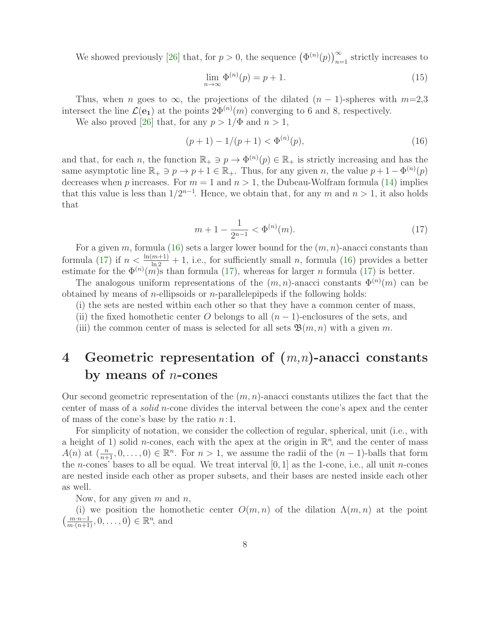We showed previously [\[26\]](#page-13-1) that, for  $p > 0$ , the sequence  $(\Phi^{(n)}(p))_{n=1}^{\infty}$  strictly increases to

<span id="page-7-2"></span><span id="page-7-0"></span>
$$
\lim_{n \to \infty} \Phi^{(n)}(p) = p + 1. \tag{15}
$$

Thus, when n goes to  $\infty$ , the projections of the dilated  $(n-1)$ -spheres with  $m=2,3$ intersect the line  $\mathcal{L}(\mathbf{e}_1)$  at the points  $2\Phi^{(n)}(m)$  converging to 6 and 8, respectively.

We also proved [\[26\]](#page-13-1) that, for any  $p > 1/\Phi$  and  $n > 1$ ,

$$
(p+1) - 1/(p+1) < \Phi^{(n)}(p),\tag{16}
$$

<span id="page-7-1"></span>and that, for each n, the function  $\mathbb{R}_+ \ni p \to \Phi^{(n)}(p) \in \mathbb{R}_+$  is strictly increasing and has the same asymptotic line  $\mathbb{R}_+ \ni p \to p+1 \in \mathbb{R}_+$ . Thus, for any given n, the value  $p+1-\Phi^{(n)}(p)$ decreases when p increases. For  $m = 1$  and  $n > 1$ , the Dubeau-Wolfram formula [\(14\)](#page-5-0) implies that this value is less than  $1/2^{n-1}$ . Hence, we obtain that, for any m and  $n > 1$ , it also holds that

$$
m+1-\frac{1}{2^{n-1}} < \Phi^{(n)}(m). \tag{17}
$$

For a given m, formula [\(16\)](#page-7-0) sets a larger lower bound for the  $(m, n)$ -anacci constants than formula [\(17\)](#page-7-1) if  $n < \frac{\ln(m+1)}{\ln 2} + 1$ , i.e., for sufficiently small n, formula [\(16\)](#page-7-0) provides a better estimate for the  $\Phi^{(n)}(m)$ s than formula [\(17\)](#page-7-1), whereas for larger *n* formula (17) is better.

The analogous uniform representations of the  $(m, n)$ -anacci constants  $\Phi^{(n)}(m)$  can be obtained by means of *n*-ellipsoids or *n*-parallelepipeds if the following holds:

- (i) the sets are nested within each other so that they have a common center of mass,
- (ii) the fixed homothetic center O belongs to all  $(n-1)$ -enclosures of the sets, and
- (iii) the common center of mass is selected for all sets  $\mathfrak{B}(m,n)$  with a given m.

## 4 Geometric representation of  $(m,n)$ -anacci constants by means of  $n$ -cones

Our second geometric representation of the  $(m, n)$ -anacci constants utilizes the fact that the center of mass of a solid n-cone divides the interval between the cone's apex and the center of mass of the cone's base by the ratio  $n:1$ .

For simplicity of notation, we consider the collection of regular, spherical, unit (i.e., with a height of 1) solid *n*-cones, each with the apex at the origin in  $\mathbb{R}^n$ , and the center of mass  $A(n)$  at  $\left(\frac{n}{n+1}, 0, \ldots, 0\right) \in \mathbb{R}^n$ . For  $n > 1$ , we assume the radii of the  $(n-1)$ -balls that form the *n*-cones' bases to all be equal. We treat interval  $[0, 1]$  as the 1-cone, i.e., all unit *n*-cones are nested inside each other as proper subsets, and their bases are nested inside each other as well.

Now, for any given  $m$  and  $n$ ,

(i) we position the homothetic center  $O(m, n)$  of the dilation  $\Lambda(m, n)$  at the point  $\left(\frac{m \cdot n - 1}{m \cdot (n+1)}, 0, \ldots, 0\right) \in \mathbb{R}^n$ , and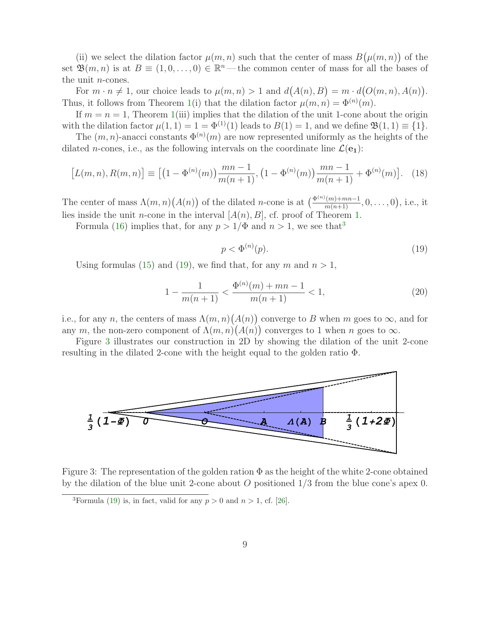(ii) we select the dilation factor  $\mu(m, n)$  such that the center of mass  $B(\mu(m, n))$  of the set  $\mathfrak{B}(m,n)$  is at  $B \equiv (1,0,\ldots,0) \in \mathbb{R}^n$  — the common center of mass for all the bases of the unit n-cones.

For  $m \cdot n \neq 1$ , our choice leads to  $\mu(m, n) > 1$  and  $d(A(n), B) = m \cdot d(O(m, n), A(n))$ . Thus, it follows from Theorem [1\(](#page-3-1)i) that the dilation factor  $\mu(m,n) = \Phi^{(n)}(m)$ .

If  $m = n = 1$ , Theorem [1\(](#page-3-1)iii) implies that the dilation of the unit 1-cone about the origin with the dilation factor  $\mu(1,1) = 1 = \Phi^{(1)}(1)$  leads to  $B(1) = 1$ , and we define  $\mathfrak{B}(1,1) \equiv \{1\}$ .

The  $(m, n)$ -anacci constants  $\Phi^{(n)}(m)$  are now represented uniformly as the heights of the dilated *n*-cones, i.e., as the following intervals on the coordinate line  $\mathcal{L}(e_1)$ :

$$
[L(m,n), R(m,n)] \equiv \left[ \left( 1 - \Phi^{(n)}(m) \right) \frac{mn - 1}{m(n+1)}, \left( 1 - \Phi^{(n)}(m) \right) \frac{mn - 1}{m(n+1)} + \Phi^{(n)}(m) \right]. \tag{18}
$$

The center of mass  $\Lambda(m,n)(A(n))$  of the dilated *n*-cone is at  $\left(\frac{\Phi^{(n)}(m)+mn-1}{m(n+1)},0,\ldots,0\right)$ , i.e., it lies inside the unit *n*-cone in the interval  $[A(n), B]$ , cf. proof of Theorem [1.](#page-3-1)

<span id="page-8-1"></span>Formula [\(16\)](#page-7-0) implies that, for any  $p > 1/\Phi$  and  $n > 1$ , we see that<sup>[3](#page-8-0)</sup>

<span id="page-8-3"></span>
$$
p < \Phi^{(n)}(p). \tag{19}
$$

Using formulas [\(15\)](#page-7-2) and [\(19\)](#page-8-1), we find that, for any m and  $n > 1$ ,

$$
1 - \frac{1}{m(n+1)} < \frac{\Phi^{(n)}(m) + mn - 1}{m(n+1)} < 1,\tag{20}
$$

i.e., for any n, the centers of mass  $\Lambda(m, n)(A(n))$  converge to B when m goes to  $\infty$ , and for any m, the non-zero component of  $\Lambda(m,n)(A(n))$  converges to 1 when n goes to  $\infty$ .

Figure [3](#page-8-2) illustrates our construction in 2D by showing the dilation of the unit 2-cone resulting in the dilated 2-cone with the height equal to the golden ratio Φ.



Figure 3: The representation of the golden ration  $\Phi$  as the height of the white 2-cone obtained by the dilation of the blue unit 2-cone about O positioned  $1/3$  from the blue cone's apex 0.

<span id="page-8-2"></span><span id="page-8-0"></span><sup>&</sup>lt;sup>3</sup>Formula [\(19\)](#page-8-1) is, in fact, valid for any  $p > 0$  and  $n > 1$ , cf. [\[26\]](#page-13-1).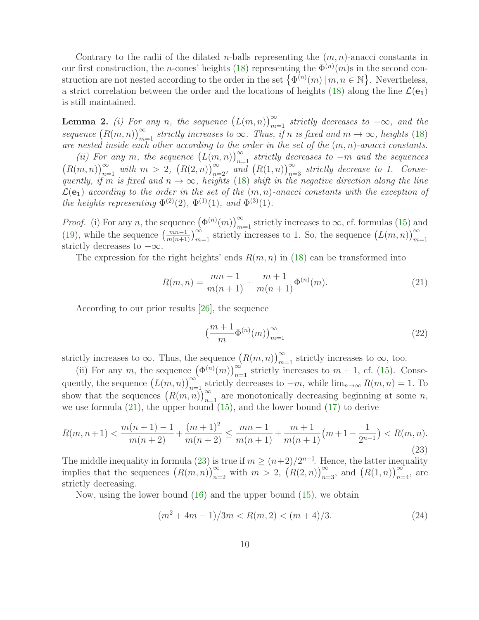Contrary to the radii of the dilated *n*-balls representing the  $(m, n)$ -anacci constants in our first construction, the *n*-cones' heights [\(18\)](#page-8-3) representing the  $\Phi^{(n)}(m)$ s in the second construction are not nested according to the order in the set  $\{\Phi^{(n)}(m) | m, n \in \mathbb{N}\}\.$  Nevertheless, a strict correlation between the order and the locations of heights [\(18\)](#page-8-3) along the line  $\mathcal{L}(e_1)$ is still maintained.

**Lemma 2.** (i) For any n, the sequence  $(L(m, n))_{m=1}^{\infty}$  strictly decreases to  $-\infty$ , and the sequence  $(R(m, n))_{m=1}^{\infty}$  strictly increases to  $\infty$ . Thus, if n is fixed and  $m \to \infty$ , heights [\(18\)](#page-8-3) are nested inside each other according to the order in the set of the  $(m, n)$ -anacci constants.

(ii) For any m, the sequence  $(L(m, n))_{n=1}^{\infty}$  strictly decreases to  $-m$  and the sequences  $(R(m,n))_{n=1}^{\infty}$  with  $m > 2$ ,  $(R(2,n))_{n=2}^{\infty}$ , and  $(R(1,n))_{n=3}^{\infty}$  strictly decrease to 1. Consequently, if m is fixed and  $n \to \infty$ , heights [\(18\)](#page-8-3) shift in the negative direction along the line  $\mathcal{L}(\mathbf{e}_1)$  according to the order in the set of the  $(m, n)$ -anacci constants with the exception of the heights representing  $\Phi^{(2)}(2)$ ,  $\Phi^{(1)}(1)$ , and  $\Phi^{(3)}(1)$ .

*Proof.* (i) For any n, the sequence  $(\Phi^{(n)}(m))_{m=1}^{\infty}$  strictly increases to  $\infty$ , cf. formulas [\(15\)](#page-7-2) and [\(19\)](#page-8-1), while the sequence  $\left(\frac{mn-1}{m(n+1)}\right)_{m=1}^{\infty}$  strictly increases to 1. So, the sequence  $(L(m, n))_{m=1}^{\infty}$ strictly decreases to  $-\infty$ .

The expression for the right heights' ends  $R(m, n)$  in [\(18\)](#page-8-3) can be transformed into

$$
R(m,n) = \frac{mn-1}{m(n+1)} + \frac{m+1}{m(n+1)}\Phi^{(n)}(m).
$$
 (21)

According to our prior results [\[26\]](#page-13-1), the sequence

<span id="page-9-1"></span><span id="page-9-0"></span>
$$
\left(\frac{m+1}{m}\Phi^{(n)}(m)\right)_{m=1}^{\infty} \tag{22}
$$

strictly increases to  $\infty$ . Thus, the sequence  $(R(m, n))_{m=1}^{\infty}$  strictly increases to  $\infty$ , too.

(ii) For any m, the sequence  $(\Phi^{(n)}(m))_{n=1}^{\infty}$  strictly increases to  $m + 1$ , cf. [\(15\)](#page-7-2). Consequently, the sequence  $(L(m, n))_{n=1}^{\infty}$  strictly decreases to  $-m$ , while  $\lim_{n\to\infty} R(m, n) = 1$ . To show that the sequences  $(R(m, n))_{n=1}^{\infty}$  are monotonically decreasing beginning at some n, we use formula  $(21)$ , the upper bound  $(15)$ , and the lower bound  $(17)$  to derive

$$
R(m, n+1) < \frac{m(n+1) - 1}{m(n+2)} + \frac{(m+1)^2}{m(n+2)} \le \frac{mn - 1}{m(n+1)} + \frac{m+1}{m(n+1)} \left( m + 1 - \frac{1}{2^{n-1}} \right) < R(m, n). \tag{23}
$$

The middle inequality in formula [\(23\)](#page-9-1) is true if  $m \ge (n+2)/2^{n-1}$ . Hence, the latter inequality implies that the sequences  $(R(m, n))_{n=2}^{\infty}$  with  $m > 2$ ,  $(R(2, n))_{n=3}^{\infty}$ , and  $(R(1, n))_{n=4}^{\infty}$ , are strictly decreasing.

Now, using the lower bound [\(16\)](#page-7-0) and the upper bound [\(15\)](#page-7-2), we obtain

<span id="page-9-2"></span>
$$
(m2 + 4m - 1)/3m < R(m, 2) < (m + 4)/3.
$$
 (24)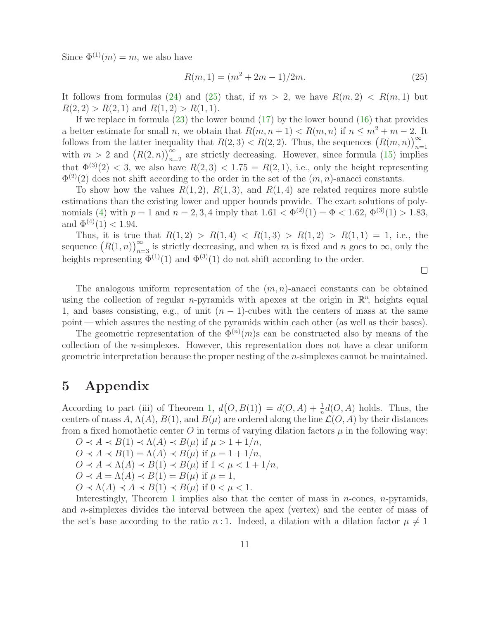Since  $\Phi^{(1)}(m) = m$ , we also have

<span id="page-10-0"></span>
$$
R(m, 1) = (m2 + 2m - 1)/2m.
$$
 (25)

It follows from formulas [\(24\)](#page-9-2) and [\(25\)](#page-10-0) that, if  $m > 2$ , we have  $R(m, 2) < R(m, 1)$  but  $R(2, 2) > R(2, 1)$  and  $R(1, 2) > R(1, 1)$ .

If we replace in formula [\(23\)](#page-9-1) the lower bound [\(17\)](#page-7-1) by the lower bound [\(16\)](#page-7-0) that provides a better estimate for small n, we obtain that  $R(m, n + 1) < R(m, n)$  if  $n \leq m^2 + m - 2$ . It follows from the latter inequality that  $R(2,3) < R(2,2)$ . Thus, the sequences  $(R(m,n))_{n=1}^{\infty}$ with  $m > 2$  and  $(R(2, n))_{n=2}^{\infty}$  are strictly decreasing. However, since formula [\(15\)](#page-7-2) implies that  $\Phi^{(3)}(2)$  < 3, we also have  $R(2,3)$  < 1.75 =  $R(2,1)$ , i.e., only the height representing  $\Phi^{(2)}(2)$  does not shift according to the order in the set of the  $(m, n)$ -anacci constants.

To show how the values  $R(1, 2)$ ,  $R(1, 3)$ , and  $R(1, 4)$  are related requires more subtle estimations than the existing lower and upper bounds provide. The exact solutions of poly-nomials [\(4\)](#page-2-2) with  $p = 1$  and  $n = 2, 3, 4$  imply that  $1.61 < \Phi^{(2)}(1) = \Phi < 1.62$ ,  $\Phi^{(3)}(1) > 1.83$ , and  $\Phi^{(4)}(1) < 1.94$ .

Thus, it is true that  $R(1,2) > R(1,4) < R(1,3) > R(1,2) > R(1,1) = 1$ , i.e., the sequence  $(R(1,n))_{n=3}^{\infty}$  is strictly decreasing, and when m is fixed and n goes to  $\infty$ , only the heights representing  $\Phi^{(1)}(1)$  and  $\Phi^{(3)}(1)$  do not shift according to the order.

The analogous uniform representation of the  $(m, n)$ -anacci constants can be obtained using the collection of regular *n*-pyramids with apexes at the origin in  $\mathbb{R}^n$ , heights equal 1, and bases consisting, e.g., of unit  $(n-1)$ -cubes with the centers of mass at the same point — which assures the nesting of the pyramids within each other (as well as their bases).

The geometric representation of the  $\Phi^{(n)}(m)$ s can be constructed also by means of the collection of the n-simplexes. However, this representation does not have a clear uniform geometric interpretation because the proper nesting of the n-simplexes cannot be maintained.

## 5 Appendix

According to part (iii) of Theorem [1,](#page-3-1)  $d(O, B(1)) = d(O, A) + \frac{1}{n}d(O, A)$  holds. Thus, the centers of mass  $A, \Lambda(A), B(1),$  and  $B(\mu)$  are ordered along the line  $\mathcal{L}(O, A)$  by their distances from a fixed homothetic center O in terms of varying dilation factors  $\mu$  in the following way:

 $O \prec A \prec B(1) \prec \Lambda(A) \prec B(\mu)$  if  $\mu > 1 + 1/n$ ,  $O \prec A \prec B(1) = \Lambda(A) \prec B(\mu)$  if  $\mu = 1 + 1/n$ ,  $O \prec A \prec \Lambda(A) \prec B(1) \prec B(\mu)$  if  $1 \prec \mu \prec 1 + 1/n$ ,  $O \prec A = \Lambda(A) \prec B(1) = B(\mu)$  if  $\mu = 1$ ,  $O \prec \Lambda(A) \prec A \prec B(1) \prec B(\mu)$  if  $0 \prec \mu \prec 1$ .

Interestingly, Theorem [1](#page-3-1) implies also that the center of mass in  $n$ -cones,  $n$ -pyramids, and n-simplexes divides the interval between the apex (vertex) and the center of mass of the set's base according to the ratio n:1. Indeed, a dilation with a dilation factor  $\mu \neq 1$ 

 $\Box$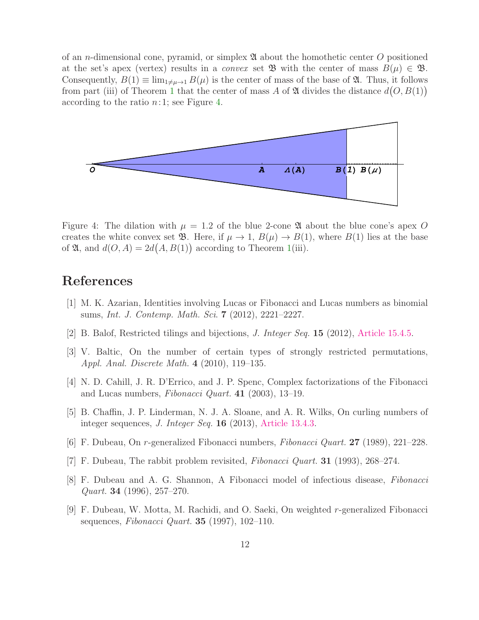of an *n*-dimensional cone, pyramid, or simplex  $\mathfrak A$  about the homothetic center O positioned at the set's apex (vertex) results in a *convex* set  $\mathfrak{B}$  with the center of mass  $B(\mu) \in \mathfrak{B}$ . Consequently,  $B(1) \equiv \lim_{1 \neq \mu \to 1} B(\mu)$  is the center of mass of the base of  $\mathfrak{A}$ . Thus, it follows from part (iii) of Theorem [1](#page-3-1) that the center of mass A of  $\mathfrak A$  divides the distance  $d(O, B(1))$ according to the ratio  $n:1$ ; see Figure [4.](#page-11-9)



<span id="page-11-9"></span>Figure 4: The dilation with  $\mu = 1.2$  of the blue 2-cone  $\mathfrak A$  about the blue cone's apex O creates the white convex set **B**. Here, if  $\mu \to 1$ ,  $B(\mu) \to B(1)$ , where  $B(1)$  lies at the base of  $\mathfrak{A}$ , and  $d(O, A) = 2d(A, B(1))$  according to Theorem [1\(](#page-3-1)iii).

## <span id="page-11-3"></span>References

- <span id="page-11-7"></span>[1] M. K. Azarian, Identities involving Lucas or Fibonacci and Lucas numbers as binomial sums, Int. J. Contemp. Math. Sci. 7 (2012), 2221–2227.
- <span id="page-11-6"></span>[2] B. Balof, Restricted tilings and bijections, J. Integer Seq. 15 (2012), [Article 15.4.5.](https://cs.uwaterloo.ca/journals/JIS/VOL15/Balof/balof19.html)
- [3] V. Baltic, On the number of certain types of strongly restricted permutations, Appl. Anal. Discrete Math. 4 (2010), 119–135.
- <span id="page-11-5"></span><span id="page-11-4"></span>[4] N. D. Cahill, J. R. D'Errico, and J. P. Spenc, Complex factorizations of the Fibonacci and Lucas numbers, Fibonacci Quart.  $41$  (2003), 13-19.
- [5] B. Chaffin, J. P. Linderman, N. J. A. Sloane, and A. R. Wilks, On curling numbers of integer sequences, *J. Integer Seg.* **16** (2013), [Article 13.4.3.](https://cs.uwaterloo.ca/journals/JIS/VOL16/Sloane/sloane3.html)
- <span id="page-11-1"></span><span id="page-11-0"></span>[6] F. Dubeau, On r-generalized Fibonacci numbers, Fibonacci Quart. 27 (1989), 221–228.
- <span id="page-11-2"></span>[7] F. Dubeau, The rabbit problem revisited, Fibonacci Quart. 31 (1993), 268–274.
- [8] F. Dubeau and A. G. Shannon, A Fibonacci model of infectious disease, Fibonacci *Quart.* **34** (1996),  $257-270$ .
- <span id="page-11-8"></span>[9] F. Dubeau, W. Motta, M. Rachidi, and O. Saeki, On weighted r-generalized Fibonacci sequences, Fibonacci Quart.  $35$  (1997), 102-110.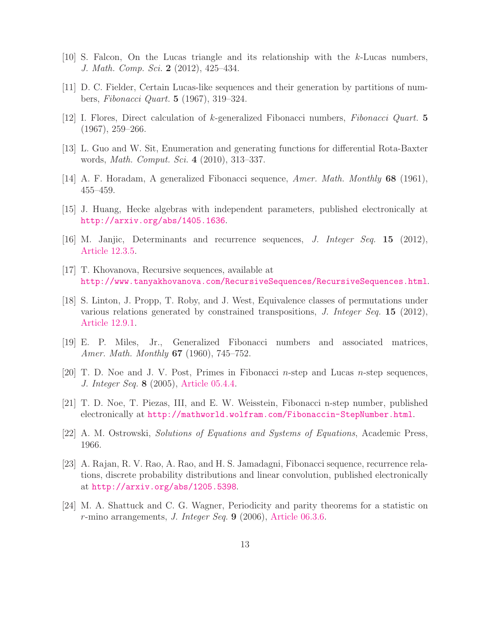- <span id="page-12-5"></span><span id="page-12-2"></span>[10] S. Falcon, On the Lucas triangle and its relationship with the k-Lucas numbers, J. Math. Comp. Sci. 2 (2012), 425–434.
- <span id="page-12-1"></span>[11] D. C. Fielder, Certain Lucas-like sequences and their generation by partitions of numbers, Fibonacci Quart. 5 (1967), 319–324.
- <span id="page-12-8"></span>[12] I. Flores, Direct calculation of k-generalized Fibonacci numbers, Fibonacci Quart. 5 (1967), 259–266.
- <span id="page-12-3"></span>[13] L. Guo and W. Sit, Enumeration and generating functions for differential Rota-Baxter words, Math. Comput. Sci. 4 (2010), 313–337.
- <span id="page-12-9"></span>[14] A. F. Horadam, A generalized Fibonacci sequence, Amer. Math. Monthly 68 (1961), 455–459.
- <span id="page-12-7"></span>[15] J. Huang, Hecke algebras with independent parameters, published electronically at <http://arxiv.org/abs/1405.1636>.
- <span id="page-12-4"></span>[16] M. Janjic, Determinants and recurrence sequences, J. Integer Seq. 15 (2012), [Article 12.3.5.](https://cs.uwaterloo.ca/journals/JIS/VOL15/Janjic/janjic42.html)
- <span id="page-12-10"></span>[17] T. Khovanova, Recursive sequences, available at <http://www.tanyakhovanova.com/RecursiveSequences/RecursiveSequences.html>.
- [18] S. Linton, J. Propp, T. Roby, and J. West, Equivalence classes of permutations under various relations generated by constrained transpositions, J. Integer Seq. 15 (2012), [Article 12.9.1.](https://cs.uwaterloo.ca/journals/JIS/VOL15/Roby/roby4.html)
- <span id="page-12-6"></span><span id="page-12-0"></span>[19] E. P. Miles, Jr., Generalized Fibonacci numbers and associated matrices, Amer. Math. Monthly **67** (1960), 745–752.
- <span id="page-12-13"></span>[20] T. D. Noe and J. V. Post, Primes in Fibonacci n-step and Lucas n-step sequences, J. Integer Seq. 8 (2005), [Article 05.4.4.](https://cs.uwaterloo.ca/journals/JIS/VOL8/Noe/noe5.html)
- <span id="page-12-14"></span>[21] T. D. Noe, T. Piezas, III, and E. W. Weisstein, Fibonacci n-step number, published electronically at <http://mathworld.wolfram.com/Fibonaccin-StepNumber.html>.
- <span id="page-12-11"></span>[22] A. M. Ostrowski, Solutions of Equations and Systems of Equations, Academic Press, 1966.
- [23] A. Rajan, R. V. Rao, A. Rao, and H. S. Jamadagni, Fibonacci sequence, recurrence relations, discrete probability distributions and linear convolution, published electronically at <http://arxiv.org/abs/1205.5398>.
- <span id="page-12-12"></span>[24] M. A. Shattuck and C. G. Wagner, Periodicity and parity theorems for a statistic on r-mino arrangements, J. Integer Seq. 9 (2006), [Article 06.3.6.](https://cs.uwaterloo.ca/journals/JIS/VOL9/Shattuck/shattuck56.html)